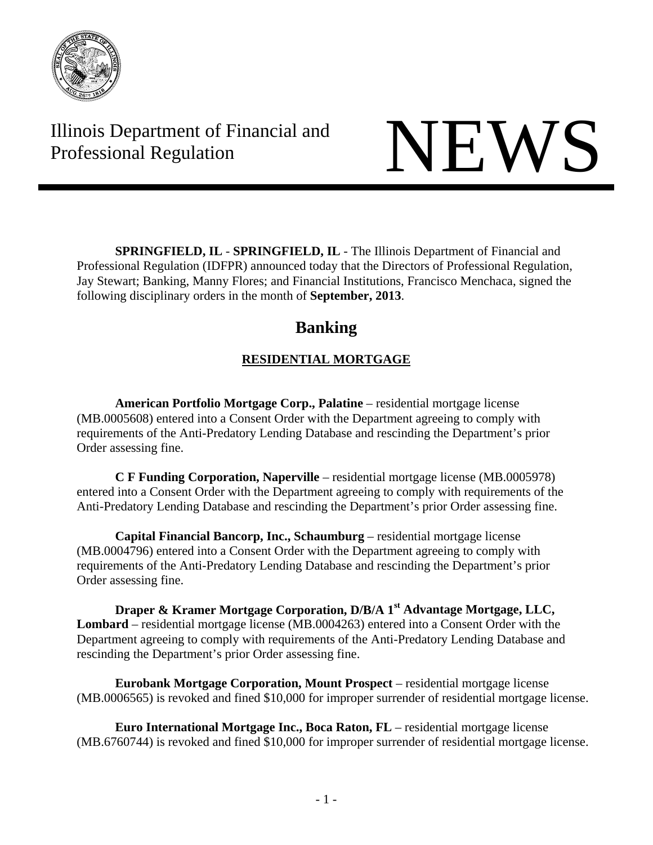

Illinois Department of Financial and Illinois Department of Financial and<br>Professional Regulation

**SPRINGFIELD, IL** - **SPRINGFIELD, IL** - The Illinois Department of Financial and Professional Regulation (IDFPR) announced today that the Directors of Professional Regulation, Jay Stewart; Banking, Manny Flores; and Financial Institutions, Francisco Menchaca, signed the following disciplinary orders in the month of **September, 2013**.

# **Banking**

# **RESIDENTIAL MORTGAGE**

**American Portfolio Mortgage Corp., Palatine** – residential mortgage license (MB.0005608) entered into a Consent Order with the Department agreeing to comply with requirements of the Anti-Predatory Lending Database and rescinding the Department's prior Order assessing fine.

 **C F Funding Corporation, Naperville** – residential mortgage license (MB.0005978) entered into a Consent Order with the Department agreeing to comply with requirements of the Anti-Predatory Lending Database and rescinding the Department's prior Order assessing fine.

 **Capital Financial Bancorp, Inc., Schaumburg** – residential mortgage license (MB.0004796) entered into a Consent Order with the Department agreeing to comply with requirements of the Anti-Predatory Lending Database and rescinding the Department's prior Order assessing fine.

 **Draper & Kramer Mortgage Corporation, D/B/A 1st Advantage Mortgage, LLC, Lombard** – residential mortgage license (MB.0004263) entered into a Consent Order with the Department agreeing to comply with requirements of the Anti-Predatory Lending Database and rescinding the Department's prior Order assessing fine.

**Eurobank Mortgage Corporation, Mount Prospect** – residential mortgage license (MB.0006565) is revoked and fined \$10,000 for improper surrender of residential mortgage license.

 **Euro International Mortgage Inc., Boca Raton, FL** – residential mortgage license (MB.6760744) is revoked and fined \$10,000 for improper surrender of residential mortgage license.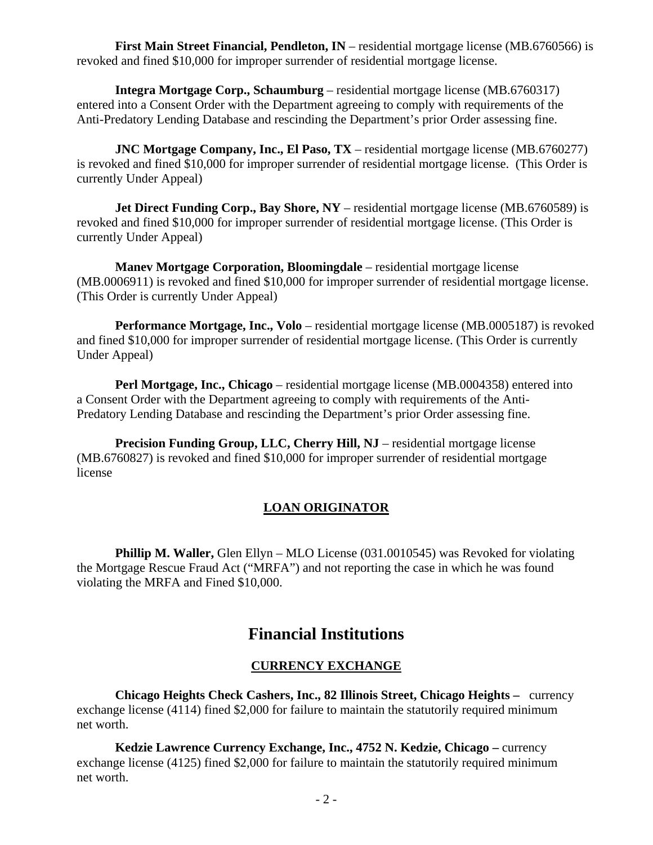**First Main Street Financial, Pendleton, IN** – residential mortgage license (MB.6760566) is revoked and fined \$10,000 for improper surrender of residential mortgage license.

 **Integra Mortgage Corp., Schaumburg** – residential mortgage license (MB.6760317) entered into a Consent Order with the Department agreeing to comply with requirements of the Anti-Predatory Lending Database and rescinding the Department's prior Order assessing fine.

**JNC Mortgage Company, Inc., El Paso, TX** – residential mortgage license (MB.6760277) is revoked and fined \$10,000 for improper surrender of residential mortgage license. (This Order is currently Under Appeal)

**Jet Direct Funding Corp., Bay Shore, NY** – residential mortgage license (MB.6760589) is revoked and fined \$10,000 for improper surrender of residential mortgage license. (This Order is currently Under Appeal)

**Manev Mortgage Corporation, Bloomingdale** – residential mortgage license (MB.0006911) is revoked and fined \$10,000 for improper surrender of residential mortgage license. (This Order is currently Under Appeal)

**Performance Mortgage, Inc., Volo** – residential mortgage license (MB.0005187) is revoked and fined \$10,000 for improper surrender of residential mortgage license. (This Order is currently Under Appeal)

**Perl Mortgage, Inc., Chicago** – residential mortgage license (MB.0004358) entered into a Consent Order with the Department agreeing to comply with requirements of the Anti-Predatory Lending Database and rescinding the Department's prior Order assessing fine.

**Precision Funding Group, LLC, Cherry Hill, NJ** – residential mortgage license (MB.6760827) is revoked and fined \$10,000 for improper surrender of residential mortgage license

# **LOAN ORIGINATOR**

**Phillip M. Waller,** Glen Ellyn – MLO License (031.0010545) was Revoked for violating the Mortgage Rescue Fraud Act ("MRFA") and not reporting the case in which he was found violating the MRFA and Fined \$10,000.

# **Financial Institutions**

# **CURRENCY EXCHANGE**

 **Chicago Heights Check Cashers, Inc., 82 Illinois Street, Chicago Heights –** currency exchange license (4114) fined \$2,000 for failure to maintain the statutorily required minimum net worth.

 **Kedzie Lawrence Currency Exchange, Inc., 4752 N. Kedzie, Chicago –** currency exchange license (4125) fined \$2,000 for failure to maintain the statutorily required minimum net worth.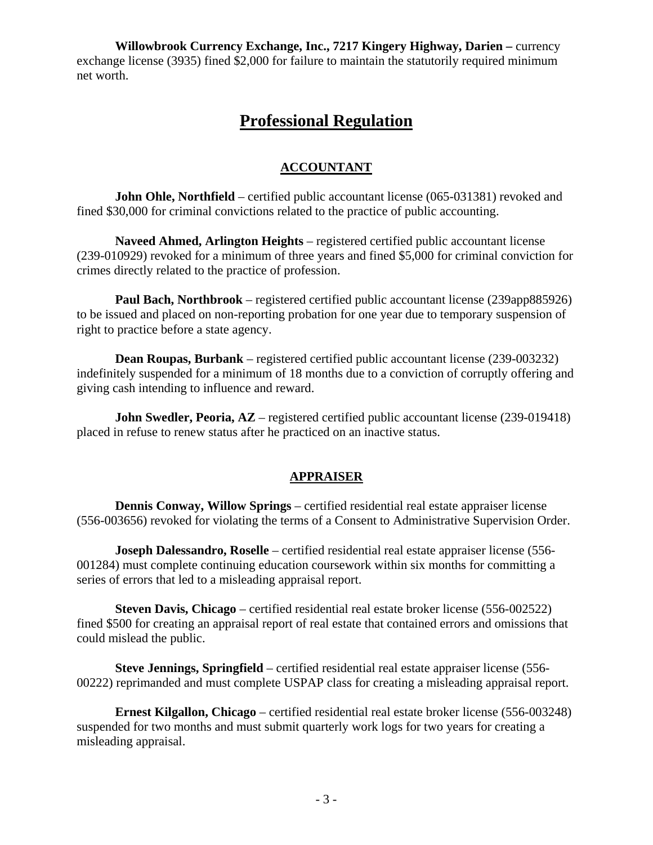**Willowbrook Currency Exchange, Inc., 7217 Kingery Highway, Darien –** currency exchange license (3935) fined \$2,000 for failure to maintain the statutorily required minimum net worth.

# **Professional Regulation**

# **ACCOUNTANT**

**John Ohle, Northfield** – certified public accountant license (065-031381) revoked and fined \$30,000 for criminal convictions related to the practice of public accounting.

**Naveed Ahmed, Arlington Heights** – registered certified public accountant license (239-010929) revoked for a minimum of three years and fined \$5,000 for criminal conviction for crimes directly related to the practice of profession.

**Paul Bach, Northbrook** – registered certified public accountant license (239app885926) to be issued and placed on non-reporting probation for one year due to temporary suspension of right to practice before a state agency.

**Dean Roupas, Burbank** – registered certified public accountant license (239-003232) indefinitely suspended for a minimum of 18 months due to a conviction of corruptly offering and giving cash intending to influence and reward.

**John Swedler, Peoria, AZ** – registered certified public accountant license (239-019418) placed in refuse to renew status after he practiced on an inactive status.

# **APPRAISER**

**Dennis Conway, Willow Springs** – certified residential real estate appraiser license (556-003656) revoked for violating the terms of a Consent to Administrative Supervision Order.

**Joseph Dalessandro, Roselle** – certified residential real estate appraiser license (556- 001284) must complete continuing education coursework within six months for committing a series of errors that led to a misleading appraisal report.

**Steven Davis, Chicago** – certified residential real estate broker license (556-002522) fined \$500 for creating an appraisal report of real estate that contained errors and omissions that could mislead the public.

**Steve Jennings, Springfield** – certified residential real estate appraiser license (556- 00222) reprimanded and must complete USPAP class for creating a misleading appraisal report.

**Ernest Kilgallon, Chicago** – certified residential real estate broker license (556-003248) suspended for two months and must submit quarterly work logs for two years for creating a misleading appraisal.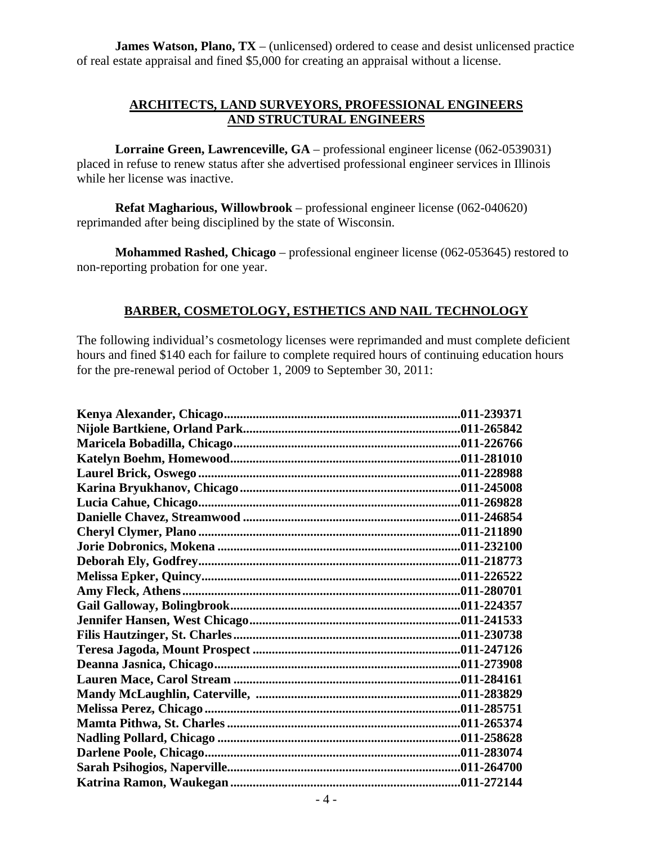**James Watson, Plano, TX** – (unlicensed) ordered to cease and desist unlicensed practice of real estate appraisal and fined \$5,000 for creating an appraisal without a license.

# **ARCHITECTS, LAND SURVEYORS, PROFESSIONAL ENGINEERS AND STRUCTURAL ENGINEERS**

**Lorraine Green, Lawrenceville, GA** – professional engineer license (062-0539031) placed in refuse to renew status after she advertised professional engineer services in Illinois while her license was inactive.

**Refat Magharious, Willowbrook** – professional engineer license (062-040620) reprimanded after being disciplined by the state of Wisconsin.

**Mohammed Rashed, Chicago** – professional engineer license (062-053645) restored to non-reporting probation for one year.

# **BARBER, COSMETOLOGY, ESTHETICS AND NAIL TECHNOLOGY**

The following individual's cosmetology licenses were reprimanded and must complete deficient hours and fined \$140 each for failure to complete required hours of continuing education hours for the pre-renewal period of October 1, 2009 to September 30, 2011: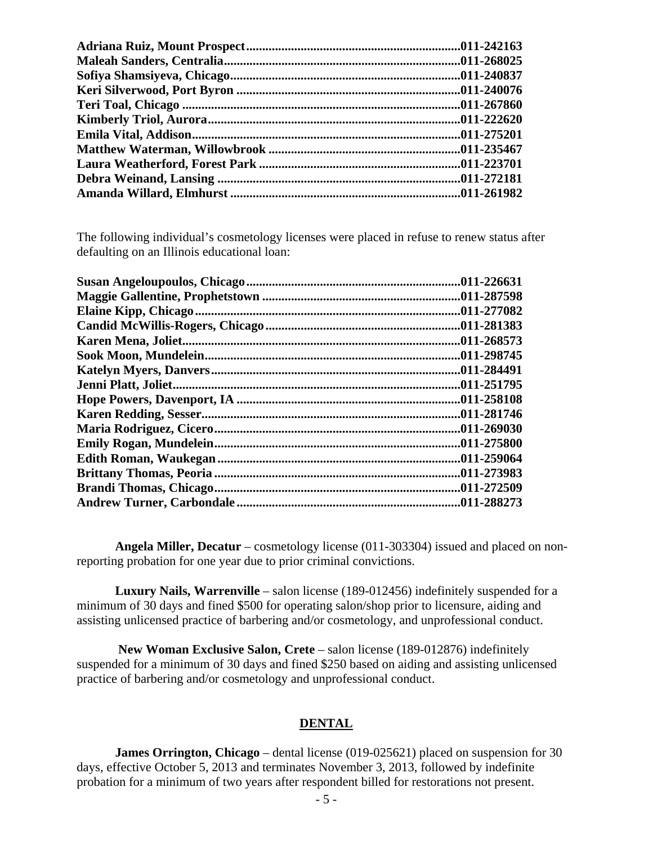The following individual's cosmetology licenses were placed in refuse to renew status after defaulting on an Illinois educational loan:

| .011-226631 |
|-------------|
|             |
|             |
| 011-281383  |
| .011-268573 |
| .011-298745 |
| .011-284491 |
| .011-251795 |
| .011-258108 |
| .011-281746 |
| .011-269030 |
| .011-275800 |
| .011-259064 |
| .011-273983 |
| .011-272509 |
| .011-288273 |

**Angela Miller, Decatur** – cosmetology license (011-303304) issued and placed on nonreporting probation for one year due to prior criminal convictions.

**Luxury Nails, Warrenville** – salon license (189-012456) indefinitely suspended for a minimum of 30 days and fined \$500 for operating salon/shop prior to licensure, aiding and assisting unlicensed practice of barbering and/or cosmetology, and unprofessional conduct.

**New Woman Exclusive Salon, Crete** – salon license (189-012876) indefinitely suspended for a minimum of 30 days and fined \$250 based on aiding and assisting unlicensed practice of barbering and/or cosmetology and unprofessional conduct.

#### **DENTAL**

**James Orrington, Chicago** – dental license (019-025621) placed on suspension for 30 days, effective October 5, 2013 and terminates November 3, 2013, followed by indefinite probation for a minimum of two years after respondent billed for restorations not present.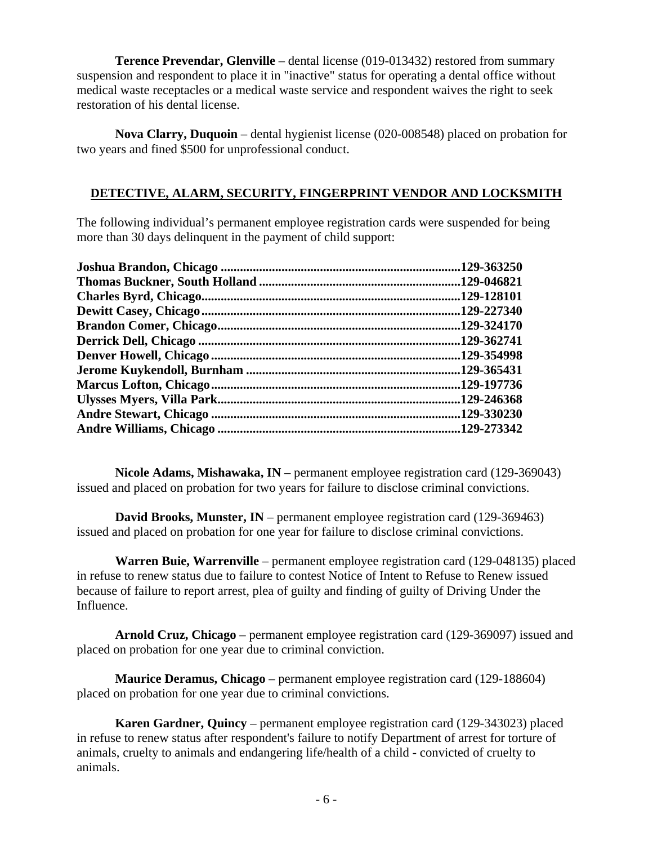**Terence Prevendar, Glenville** – dental license (019-013432) restored from summary suspension and respondent to place it in "inactive" status for operating a dental office without medical waste receptacles or a medical waste service and respondent waives the right to seek restoration of his dental license.

**Nova Clarry, Duquoin** – dental hygienist license (020-008548) placed on probation for two years and fined \$500 for unprofessional conduct.

# **DETECTIVE, ALARM, SECURITY, FINGERPRINT VENDOR AND LOCKSMITH**

The following individual's permanent employee registration cards were suspended for being more than 30 days delinquent in the payment of child support:

| .129-363250 |
|-------------|
|             |
| .129-128101 |
| .129-227340 |
| .129-324170 |
| .129-362741 |
| .129-354998 |
|             |
|             |
| .129-246368 |
| .129-330230 |
| .129-273342 |

**Nicole Adams, Mishawaka, IN** – permanent employee registration card (129-369043) issued and placed on probation for two years for failure to disclose criminal convictions.

**David Brooks, Munster, IN** – permanent employee registration card (129-369463) issued and placed on probation for one year for failure to disclose criminal convictions.

**Warren Buie, Warrenville** – permanent employee registration card (129-048135) placed in refuse to renew status due to failure to contest Notice of Intent to Refuse to Renew issued because of failure to report arrest, plea of guilty and finding of guilty of Driving Under the Influence.

**Arnold Cruz, Chicago** – permanent employee registration card (129-369097) issued and placed on probation for one year due to criminal conviction.

**Maurice Deramus, Chicago** – permanent employee registration card (129-188604) placed on probation for one year due to criminal convictions.

**Karen Gardner, Quincy** – permanent employee registration card (129-343023) placed in refuse to renew status after respondent's failure to notify Department of arrest for torture of animals, cruelty to animals and endangering life/health of a child - convicted of cruelty to animals.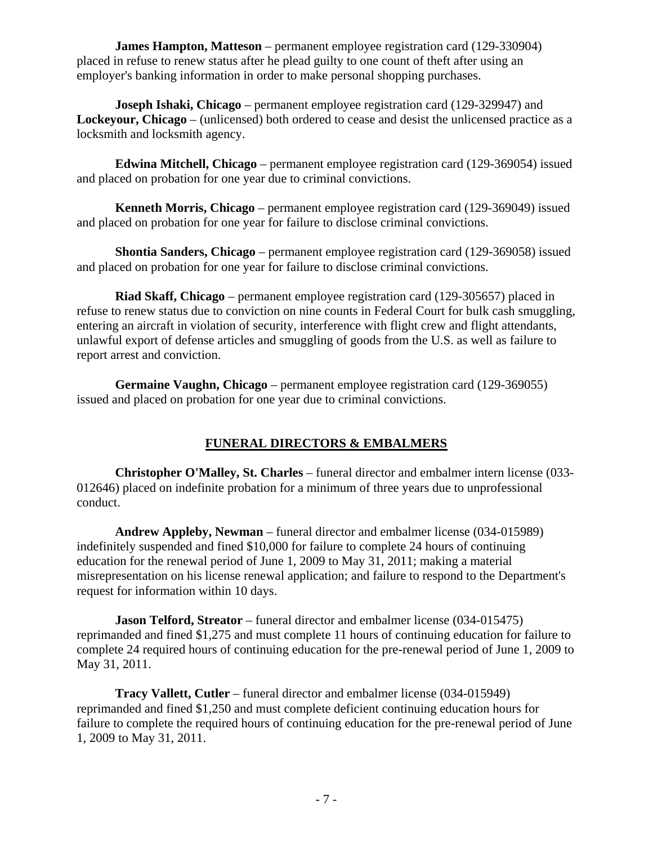**James Hampton, Matteson** – permanent employee registration card (129-330904) placed in refuse to renew status after he plead guilty to one count of theft after using an employer's banking information in order to make personal shopping purchases.

**Joseph Ishaki, Chicago** – permanent employee registration card (129-329947) and **Lockeyour, Chicago** – (unlicensed) both ordered to cease and desist the unlicensed practice as a locksmith and locksmith agency.

**Edwina Mitchell, Chicago** – permanent employee registration card (129-369054) issued and placed on probation for one year due to criminal convictions.

**Kenneth Morris, Chicago** – permanent employee registration card (129-369049) issued and placed on probation for one year for failure to disclose criminal convictions.

**Shontia Sanders, Chicago** – permanent employee registration card (129-369058) issued and placed on probation for one year for failure to disclose criminal convictions.

**Riad Skaff, Chicago** – permanent employee registration card (129-305657) placed in refuse to renew status due to conviction on nine counts in Federal Court for bulk cash smuggling, entering an aircraft in violation of security, interference with flight crew and flight attendants, unlawful export of defense articles and smuggling of goods from the U.S. as well as failure to report arrest and conviction.

**Germaine Vaughn, Chicago** – permanent employee registration card (129-369055) issued and placed on probation for one year due to criminal convictions.

# **FUNERAL DIRECTORS & EMBALMERS**

**Christopher O'Malley, St. Charles** – funeral director and embalmer intern license (033- 012646) placed on indefinite probation for a minimum of three years due to unprofessional conduct.

**Andrew Appleby, Newman** – funeral director and embalmer license (034-015989) indefinitely suspended and fined \$10,000 for failure to complete 24 hours of continuing education for the renewal period of June 1, 2009 to May 31, 2011; making a material misrepresentation on his license renewal application; and failure to respond to the Department's request for information within 10 days.

**Jason Telford, Streator** – funeral director and embalmer license (034-015475) reprimanded and fined \$1,275 and must complete 11 hours of continuing education for failure to complete 24 required hours of continuing education for the pre-renewal period of June 1, 2009 to May 31, 2011.

**Tracy Vallett, Cutler** – funeral director and embalmer license (034-015949) reprimanded and fined \$1,250 and must complete deficient continuing education hours for failure to complete the required hours of continuing education for the pre-renewal period of June 1, 2009 to May 31, 2011.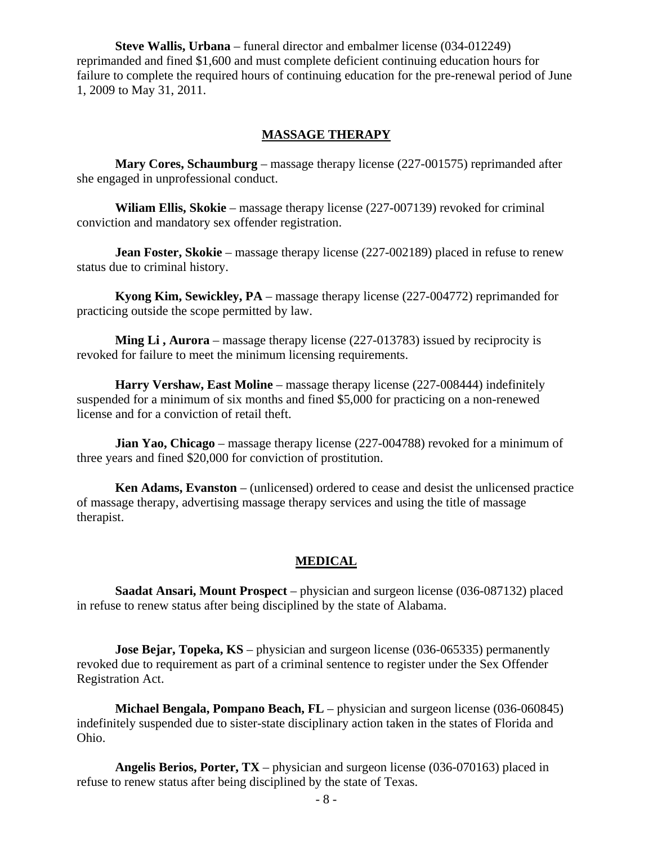**Steve Wallis, Urbana** – funeral director and embalmer license (034-012249) reprimanded and fined \$1,600 and must complete deficient continuing education hours for failure to complete the required hours of continuing education for the pre-renewal period of June 1, 2009 to May 31, 2011.

#### **MASSAGE THERAPY**

**Mary Cores, Schaumburg** – massage therapy license (227-001575) reprimanded after she engaged in unprofessional conduct.

**Wiliam Ellis, Skokie** – massage therapy license (227-007139) revoked for criminal conviction and mandatory sex offender registration.

**Jean Foster, Skokie** – massage therapy license (227-002189) placed in refuse to renew status due to criminal history.

**Kyong Kim, Sewickley, PA** – massage therapy license (227-004772) reprimanded for practicing outside the scope permitted by law.

**Ming Li**, **Aurora** – massage therapy license (227-013783) issued by reciprocity is revoked for failure to meet the minimum licensing requirements.

**Harry Vershaw, East Moline** – massage therapy license (227-008444) indefinitely suspended for a minimum of six months and fined \$5,000 for practicing on a non-renewed license and for a conviction of retail theft.

**Jian Yao, Chicago** – massage therapy license (227-004788) revoked for a minimum of three years and fined \$20,000 for conviction of prostitution.

**Ken Adams, Evanston** – (unlicensed) ordered to cease and desist the unlicensed practice of massage therapy, advertising massage therapy services and using the title of massage therapist.

#### **MEDICAL**

**Saadat Ansari, Mount Prospect** – physician and surgeon license (036-087132) placed in refuse to renew status after being disciplined by the state of Alabama.

**Jose Bejar, Topeka, KS** – physician and surgeon license (036-065335) permanently revoked due to requirement as part of a criminal sentence to register under the Sex Offender Registration Act.

**Michael Bengala, Pompano Beach, FL** – physician and surgeon license (036-060845) indefinitely suspended due to sister-state disciplinary action taken in the states of Florida and Ohio.

**Angelis Berios, Porter, TX** – physician and surgeon license (036-070163) placed in refuse to renew status after being disciplined by the state of Texas.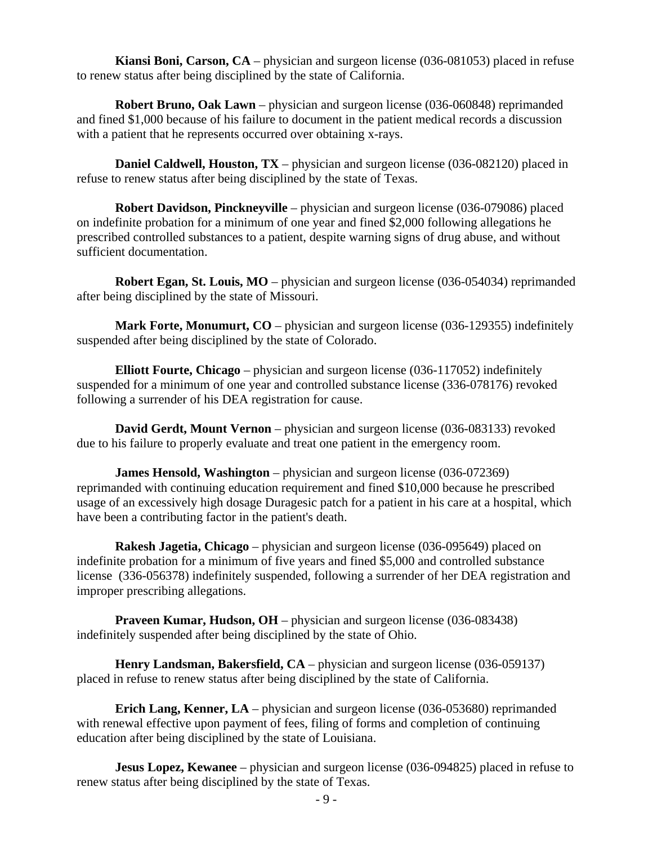**Kiansi Boni, Carson, CA** – physician and surgeon license (036-081053) placed in refuse to renew status after being disciplined by the state of California.

**Robert Bruno, Oak Lawn** – physician and surgeon license (036-060848) reprimanded and fined \$1,000 because of his failure to document in the patient medical records a discussion with a patient that he represents occurred over obtaining x-rays.

**Daniel Caldwell, Houston, TX** – physician and surgeon license (036-082120) placed in refuse to renew status after being disciplined by the state of Texas.

**Robert Davidson, Pinckneyville** – physician and surgeon license (036-079086) placed on indefinite probation for a minimum of one year and fined \$2,000 following allegations he prescribed controlled substances to a patient, despite warning signs of drug abuse, and without sufficient documentation.

**Robert Egan, St. Louis, MO** – physician and surgeon license (036-054034) reprimanded after being disciplined by the state of Missouri.

**Mark Forte, Monumurt, CO** – physician and surgeon license (036-129355) indefinitely suspended after being disciplined by the state of Colorado.

**Elliott Fourte, Chicago** – physician and surgeon license (036-117052) indefinitely suspended for a minimum of one year and controlled substance license (336-078176) revoked following a surrender of his DEA registration for cause.

**David Gerdt, Mount Vernon** – physician and surgeon license (036-083133) revoked due to his failure to properly evaluate and treat one patient in the emergency room.

**James Hensold, Washington** – physician and surgeon license (036-072369) reprimanded with continuing education requirement and fined \$10,000 because he prescribed usage of an excessively high dosage Duragesic patch for a patient in his care at a hospital, which have been a contributing factor in the patient's death.

**Rakesh Jagetia, Chicago** – physician and surgeon license (036-095649) placed on indefinite probation for a minimum of five years and fined \$5,000 and controlled substance license (336-056378) indefinitely suspended, following a surrender of her DEA registration and improper prescribing allegations.

**Praveen Kumar, Hudson, OH** – physician and surgeon license (036-083438) indefinitely suspended after being disciplined by the state of Ohio.

**Henry Landsman, Bakersfield, CA** – physician and surgeon license (036-059137) placed in refuse to renew status after being disciplined by the state of California.

**Erich Lang, Kenner, LA** – physician and surgeon license (036-053680) reprimanded with renewal effective upon payment of fees, filing of forms and completion of continuing education after being disciplined by the state of Louisiana.

**Jesus Lopez, Kewanee** – physician and surgeon license (036-094825) placed in refuse to renew status after being disciplined by the state of Texas.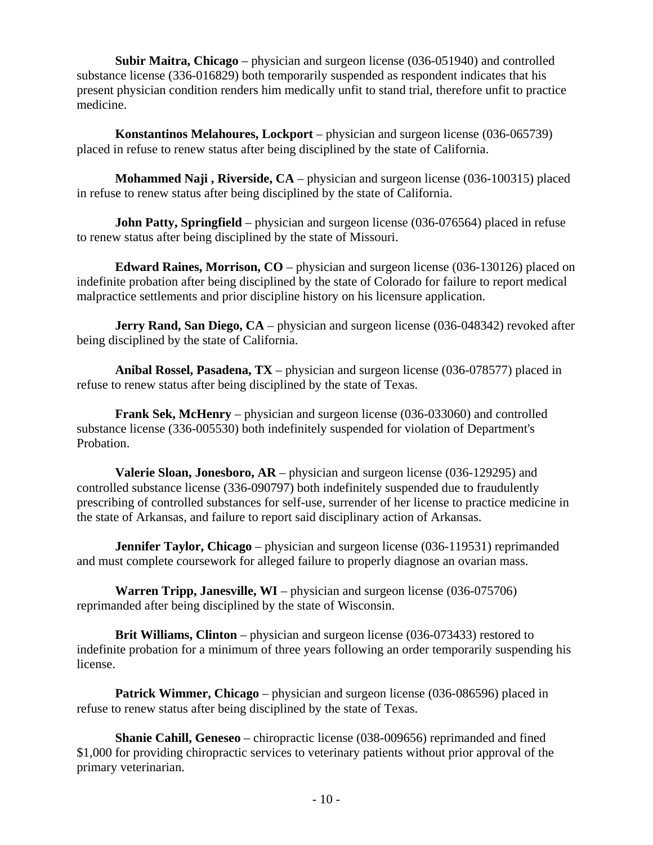**Subir Maitra, Chicago** – physician and surgeon license (036-051940) and controlled substance license (336-016829) both temporarily suspended as respondent indicates that his present physician condition renders him medically unfit to stand trial, therefore unfit to practice medicine.

**Konstantinos Melahoures, Lockport** – physician and surgeon license (036-065739) placed in refuse to renew status after being disciplined by the state of California.

**Mohammed Naji , Riverside, CA** – physician and surgeon license (036-100315) placed in refuse to renew status after being disciplined by the state of California.

**John Patty, Springfield** – physician and surgeon license (036-076564) placed in refuse to renew status after being disciplined by the state of Missouri.

**Edward Raines, Morrison, CO** – physician and surgeon license (036-130126) placed on indefinite probation after being disciplined by the state of Colorado for failure to report medical malpractice settlements and prior discipline history on his licensure application.

**Jerry Rand, San Diego, CA** – physician and surgeon license (036-048342) revoked after being disciplined by the state of California.

**Anibal Rossel, Pasadena, TX** – physician and surgeon license (036-078577) placed in refuse to renew status after being disciplined by the state of Texas.

**Frank Sek, McHenry** – physician and surgeon license (036-033060) and controlled substance license (336-005530) both indefinitely suspended for violation of Department's Probation.

**Valerie Sloan, Jonesboro, AR** – physician and surgeon license (036-129295) and controlled substance license (336-090797) both indefinitely suspended due to fraudulently prescribing of controlled substances for self-use, surrender of her license to practice medicine in the state of Arkansas, and failure to report said disciplinary action of Arkansas.

**Jennifer Taylor, Chicago** – physician and surgeon license (036-119531) reprimanded and must complete coursework for alleged failure to properly diagnose an ovarian mass.

**Warren Tripp, Janesville, WI** – physician and surgeon license (036-075706) reprimanded after being disciplined by the state of Wisconsin.

**Brit Williams, Clinton** – physician and surgeon license (036-073433) restored to indefinite probation for a minimum of three years following an order temporarily suspending his license.

**Patrick Wimmer, Chicago** – physician and surgeon license (036-086596) placed in refuse to renew status after being disciplined by the state of Texas.

**Shanie Cahill, Geneseo** – chiropractic license (038-009656) reprimanded and fined \$1,000 for providing chiropractic services to veterinary patients without prior approval of the primary veterinarian.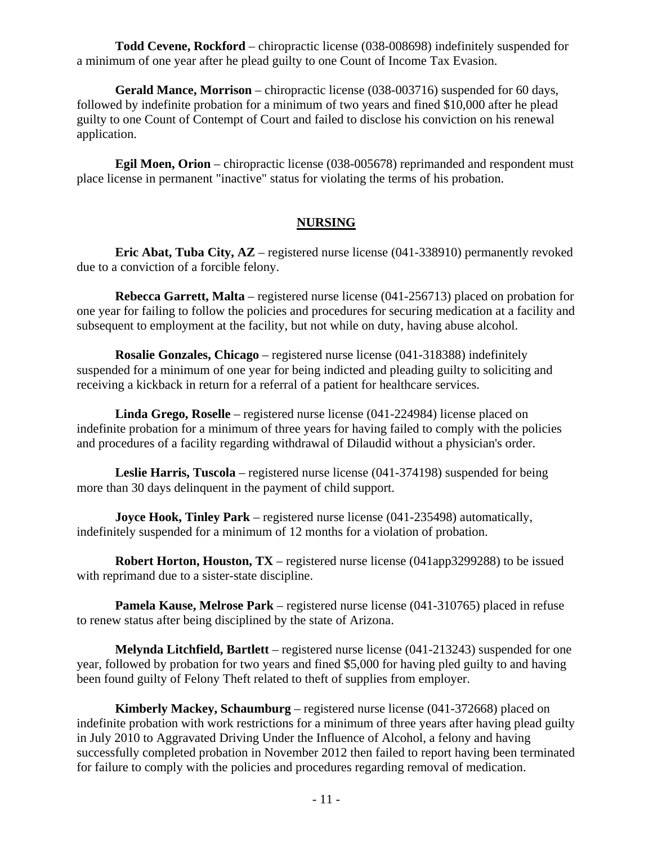**Todd Cevene, Rockford** – chiropractic license (038-008698) indefinitely suspended for a minimum of one year after he plead guilty to one Count of Income Tax Evasion.

**Gerald Mance, Morrison** – chiropractic license (038-003716) suspended for 60 days, followed by indefinite probation for a minimum of two years and fined \$10,000 after he plead guilty to one Count of Contempt of Court and failed to disclose his conviction on his renewal application.

**Egil Moen, Orion** – chiropractic license (038-005678) reprimanded and respondent must place license in permanent "inactive" status for violating the terms of his probation.

# **NURSING**

**Eric Abat, Tuba City, AZ** – registered nurse license (041-338910) permanently revoked due to a conviction of a forcible felony.

**Rebecca Garrett, Malta** – registered nurse license (041-256713) placed on probation for one year for failing to follow the policies and procedures for securing medication at a facility and subsequent to employment at the facility, but not while on duty, having abuse alcohol.

**Rosalie Gonzales, Chicago** – registered nurse license (041-318388) indefinitely suspended for a minimum of one year for being indicted and pleading guilty to soliciting and receiving a kickback in return for a referral of a patient for healthcare services.

**Linda Grego, Roselle** – registered nurse license (041-224984) license placed on indefinite probation for a minimum of three years for having failed to comply with the policies and procedures of a facility regarding withdrawal of Dilaudid without a physician's order.

**Leslie Harris, Tuscola** – registered nurse license (041-374198) suspended for being more than 30 days delinquent in the payment of child support.

**Joyce Hook, Tinley Park** – registered nurse license (041-235498) automatically, indefinitely suspended for a minimum of 12 months for a violation of probation.

**Robert Horton, Houston, TX** – registered nurse license (041app3299288) to be issued with reprimand due to a sister-state discipline.

**Pamela Kause, Melrose Park** – registered nurse license (041-310765) placed in refuse to renew status after being disciplined by the state of Arizona.

**Melynda Litchfield, Bartlett** – registered nurse license (041-213243) suspended for one year, followed by probation for two years and fined \$5,000 for having pled guilty to and having been found guilty of Felony Theft related to theft of supplies from employer.

**Kimberly Mackey, Schaumburg** – registered nurse license (041-372668) placed on indefinite probation with work restrictions for a minimum of three years after having plead guilty in July 2010 to Aggravated Driving Under the Influence of Alcohol, a felony and having successfully completed probation in November 2012 then failed to report having been terminated for failure to comply with the policies and procedures regarding removal of medication.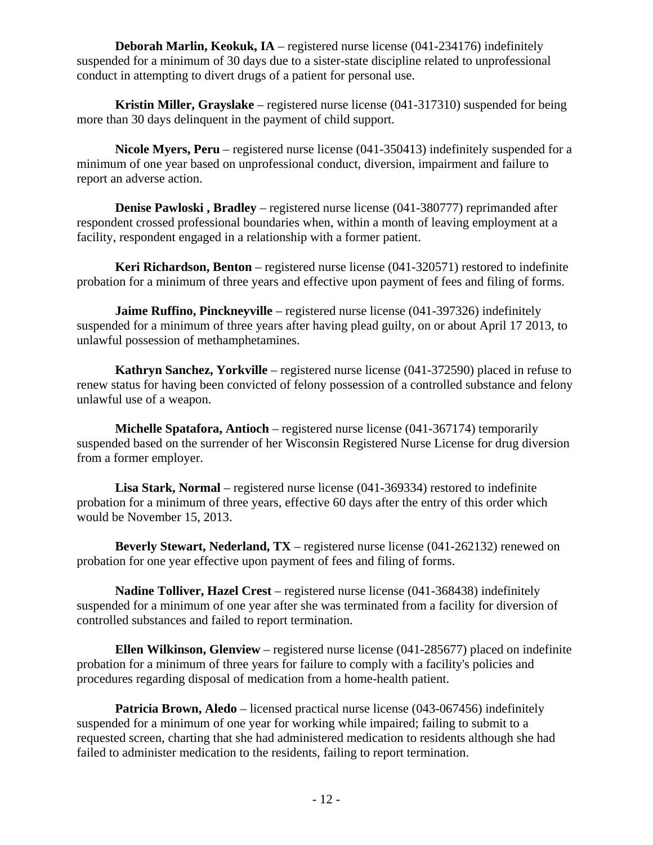**Deborah Marlin, Keokuk, IA** – registered nurse license (041-234176) indefinitely suspended for a minimum of 30 days due to a sister-state discipline related to unprofessional conduct in attempting to divert drugs of a patient for personal use.

**Kristin Miller, Grayslake** – registered nurse license (041-317310) suspended for being more than 30 days delinquent in the payment of child support.

**Nicole Myers, Peru** – registered nurse license (041-350413) indefinitely suspended for a minimum of one year based on unprofessional conduct, diversion, impairment and failure to report an adverse action.

**Denise Pawloski , Bradley** – registered nurse license (041-380777) reprimanded after respondent crossed professional boundaries when, within a month of leaving employment at a facility, respondent engaged in a relationship with a former patient.

**Keri Richardson, Benton** – registered nurse license (041-320571) restored to indefinite probation for a minimum of three years and effective upon payment of fees and filing of forms.

**Jaime Ruffino, Pinckneyville** – registered nurse license (041-397326) indefinitely suspended for a minimum of three years after having plead guilty, on or about April 17 2013, to unlawful possession of methamphetamines.

**Kathryn Sanchez, Yorkville** – registered nurse license (041-372590) placed in refuse to renew status for having been convicted of felony possession of a controlled substance and felony unlawful use of a weapon.

**Michelle Spatafora, Antioch** – registered nurse license (041-367174) temporarily suspended based on the surrender of her Wisconsin Registered Nurse License for drug diversion from a former employer.

**Lisa Stark, Normal** – registered nurse license (041-369334) restored to indefinite probation for a minimum of three years, effective 60 days after the entry of this order which would be November 15, 2013.

**Beverly Stewart, Nederland, TX** – registered nurse license (041-262132) renewed on probation for one year effective upon payment of fees and filing of forms.

**Nadine Tolliver, Hazel Crest** – registered nurse license (041-368438) indefinitely suspended for a minimum of one year after she was terminated from a facility for diversion of controlled substances and failed to report termination.

**Ellen Wilkinson, Glenview** – registered nurse license (041-285677) placed on indefinite probation for a minimum of three years for failure to comply with a facility's policies and procedures regarding disposal of medication from a home-health patient.

**Patricia Brown, Aledo** – licensed practical nurse license (043-067456) indefinitely suspended for a minimum of one year for working while impaired; failing to submit to a requested screen, charting that she had administered medication to residents although she had failed to administer medication to the residents, failing to report termination.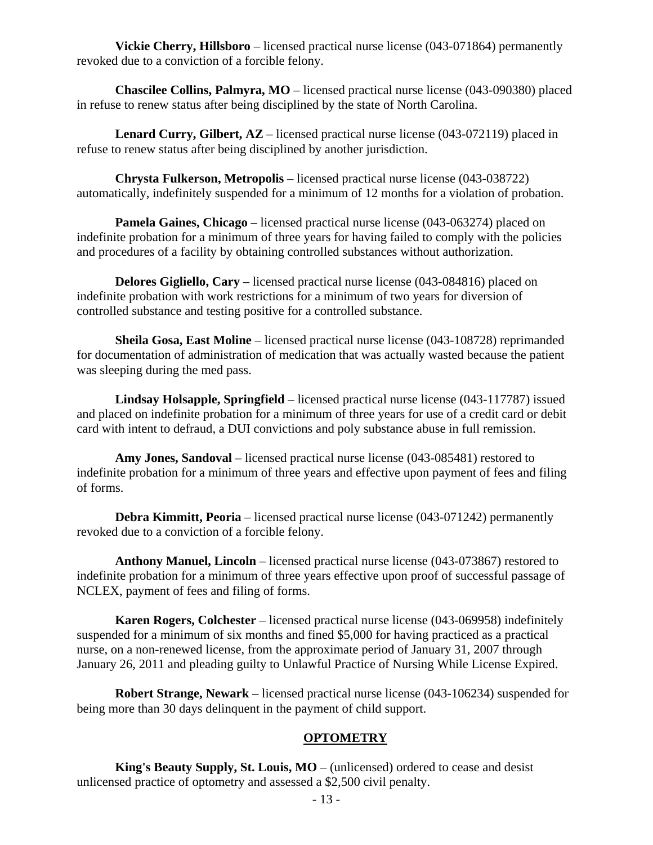**Vickie Cherry, Hillsboro** – licensed practical nurse license (043-071864) permanently revoked due to a conviction of a forcible felony.

**Chascilee Collins, Palmyra, MO** – licensed practical nurse license (043-090380) placed in refuse to renew status after being disciplined by the state of North Carolina.

Lenard Curry, Gilbert, AZ – licensed practical nurse license (043-072119) placed in refuse to renew status after being disciplined by another jurisdiction.

**Chrysta Fulkerson, Metropolis** – licensed practical nurse license (043-038722) automatically, indefinitely suspended for a minimum of 12 months for a violation of probation.

**Pamela Gaines, Chicago** – licensed practical nurse license (043-063274) placed on indefinite probation for a minimum of three years for having failed to comply with the policies and procedures of a facility by obtaining controlled substances without authorization.

**Delores Gigliello, Cary** – licensed practical nurse license (043-084816) placed on indefinite probation with work restrictions for a minimum of two years for diversion of controlled substance and testing positive for a controlled substance.

**Sheila Gosa, East Moline** – licensed practical nurse license (043-108728) reprimanded for documentation of administration of medication that was actually wasted because the patient was sleeping during the med pass.

**Lindsay Holsapple, Springfield** – licensed practical nurse license (043-117787) issued and placed on indefinite probation for a minimum of three years for use of a credit card or debit card with intent to defraud, a DUI convictions and poly substance abuse in full remission.

**Amy Jones, Sandoval** – licensed practical nurse license (043-085481) restored to indefinite probation for a minimum of three years and effective upon payment of fees and filing of forms.

**Debra Kimmitt, Peoria** – licensed practical nurse license (043-071242) permanently revoked due to a conviction of a forcible felony.

**Anthony Manuel, Lincoln** – licensed practical nurse license (043-073867) restored to indefinite probation for a minimum of three years effective upon proof of successful passage of NCLEX, payment of fees and filing of forms.

**Karen Rogers, Colchester** – licensed practical nurse license (043-069958) indefinitely suspended for a minimum of six months and fined \$5,000 for having practiced as a practical nurse, on a non-renewed license, from the approximate period of January 31, 2007 through January 26, 2011 and pleading guilty to Unlawful Practice of Nursing While License Expired.

**Robert Strange, Newark** – licensed practical nurse license (043-106234) suspended for being more than 30 days delinquent in the payment of child support.

# **OPTOMETRY**

**King's Beauty Supply, St. Louis, MO** – (unlicensed) ordered to cease and desist unlicensed practice of optometry and assessed a \$2,500 civil penalty.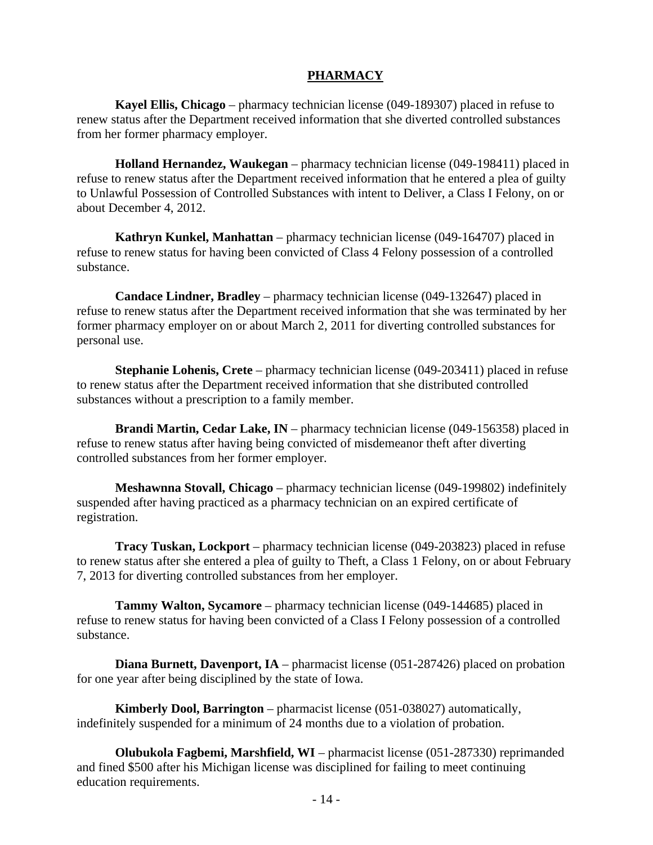# **PHARMACY**

**Kayel Ellis, Chicago** – pharmacy technician license (049-189307) placed in refuse to renew status after the Department received information that she diverted controlled substances from her former pharmacy employer.

**Holland Hernandez, Waukegan** – pharmacy technician license (049-198411) placed in refuse to renew status after the Department received information that he entered a plea of guilty to Unlawful Possession of Controlled Substances with intent to Deliver, a Class I Felony, on or about December 4, 2012.

**Kathryn Kunkel, Manhattan** – pharmacy technician license (049-164707) placed in refuse to renew status for having been convicted of Class 4 Felony possession of a controlled substance.

**Candace Lindner, Bradley** – pharmacy technician license (049-132647) placed in refuse to renew status after the Department received information that she was terminated by her former pharmacy employer on or about March 2, 2011 for diverting controlled substances for personal use.

**Stephanie Lohenis, Crete** – pharmacy technician license (049-203411) placed in refuse to renew status after the Department received information that she distributed controlled substances without a prescription to a family member.

**Brandi Martin, Cedar Lake, IN** – pharmacy technician license (049-156358) placed in refuse to renew status after having being convicted of misdemeanor theft after diverting controlled substances from her former employer.

**Meshawnna Stovall, Chicago** – pharmacy technician license (049-199802) indefinitely suspended after having practiced as a pharmacy technician on an expired certificate of registration.

**Tracy Tuskan, Lockport** – pharmacy technician license (049-203823) placed in refuse to renew status after she entered a plea of guilty to Theft, a Class 1 Felony, on or about February 7, 2013 for diverting controlled substances from her employer.

**Tammy Walton, Sycamore** – pharmacy technician license (049-144685) placed in refuse to renew status for having been convicted of a Class I Felony possession of a controlled substance.

**Diana Burnett, Davenport, IA** – pharmacist license (051-287426) placed on probation for one year after being disciplined by the state of Iowa.

**Kimberly Dool, Barrington** – pharmacist license (051-038027) automatically, indefinitely suspended for a minimum of 24 months due to a violation of probation.

**Olubukola Fagbemi, Marshfield, WI** – pharmacist license (051-287330) reprimanded and fined \$500 after his Michigan license was disciplined for failing to meet continuing education requirements.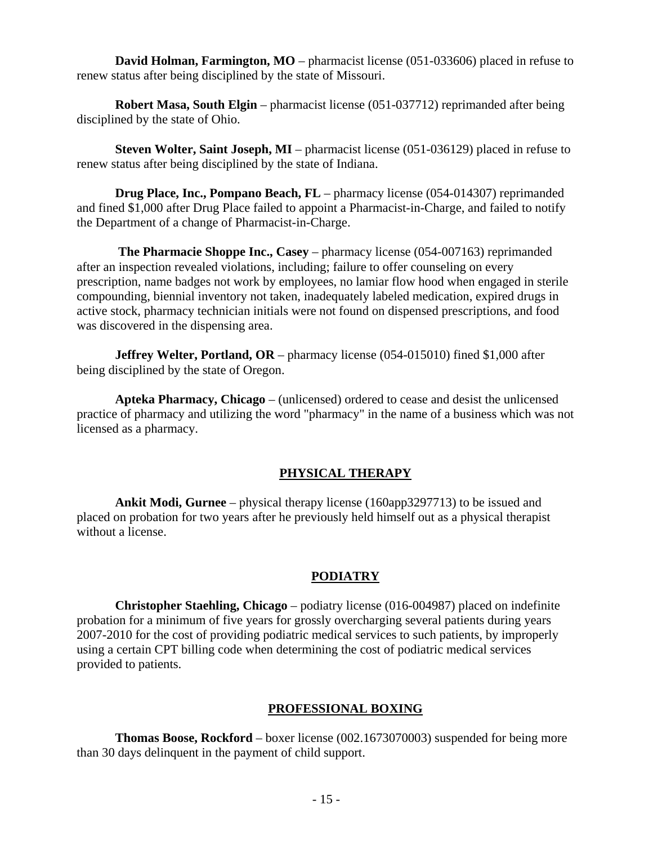**David Holman, Farmington, MO** – pharmacist license (051-033606) placed in refuse to renew status after being disciplined by the state of Missouri.

**Robert Masa, South Elgin** – pharmacist license (051-037712) reprimanded after being disciplined by the state of Ohio.

**Steven Wolter, Saint Joseph, MI** – pharmacist license (051-036129) placed in refuse to renew status after being disciplined by the state of Indiana.

**Drug Place, Inc., Pompano Beach, FL** – pharmacy license (054-014307) reprimanded and fined \$1,000 after Drug Place failed to appoint a Pharmacist-in-Charge, and failed to notify the Department of a change of Pharmacist-in-Charge.

 **The Pharmacie Shoppe Inc., Casey** – pharmacy license (054-007163) reprimanded after an inspection revealed violations, including; failure to offer counseling on every prescription, name badges not work by employees, no lamiar flow hood when engaged in sterile compounding, biennial inventory not taken, inadequately labeled medication, expired drugs in active stock, pharmacy technician initials were not found on dispensed prescriptions, and food was discovered in the dispensing area.

**Jeffrey Welter, Portland, OR** – pharmacy license (054-015010) fined \$1,000 after being disciplined by the state of Oregon.

**Apteka Pharmacy, Chicago** – (unlicensed) ordered to cease and desist the unlicensed practice of pharmacy and utilizing the word "pharmacy" in the name of a business which was not licensed as a pharmacy.

# **PHYSICAL THERAPY**

**Ankit Modi, Gurnee** – physical therapy license (160app3297713) to be issued and placed on probation for two years after he previously held himself out as a physical therapist without a license.

# **PODIATRY**

**Christopher Staehling, Chicago** – podiatry license (016-004987) placed on indefinite probation for a minimum of five years for grossly overcharging several patients during years 2007-2010 for the cost of providing podiatric medical services to such patients, by improperly using a certain CPT billing code when determining the cost of podiatric medical services provided to patients.

# **PROFESSIONAL BOXING**

**Thomas Boose, Rockford** – boxer license (002.1673070003) suspended for being more than 30 days delinquent in the payment of child support.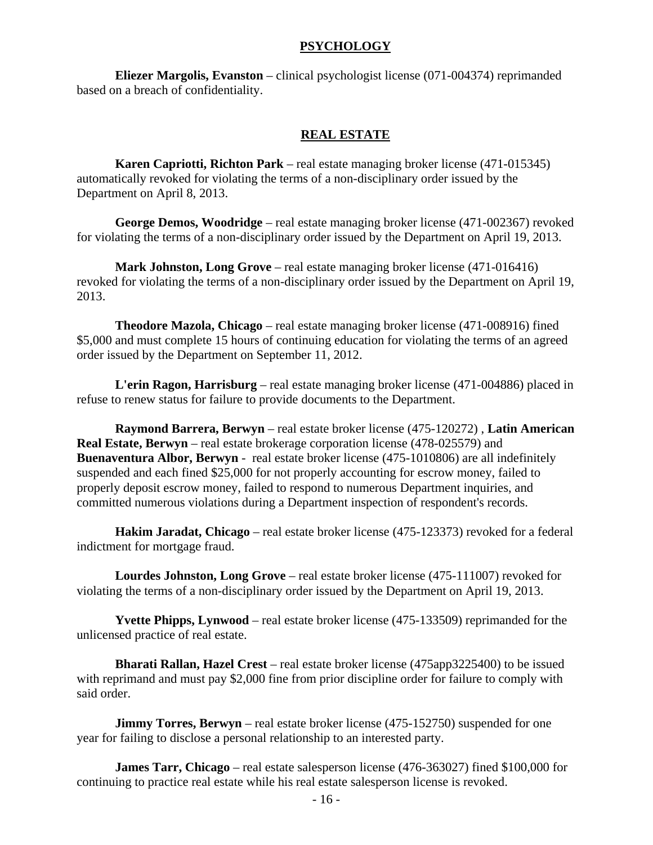#### **PSYCHOLOGY**

**Eliezer Margolis, Evanston** – clinical psychologist license (071-004374) reprimanded based on a breach of confidentiality.

#### **REAL ESTATE**

**Karen Capriotti, Richton Park** – real estate managing broker license (471-015345) automatically revoked for violating the terms of a non-disciplinary order issued by the Department on April 8, 2013.

**George Demos, Woodridge** – real estate managing broker license (471-002367) revoked for violating the terms of a non-disciplinary order issued by the Department on April 19, 2013.

**Mark Johnston, Long Grove** – real estate managing broker license (471-016416) revoked for violating the terms of a non-disciplinary order issued by the Department on April 19, 2013.

**Theodore Mazola, Chicago** – real estate managing broker license (471-008916) fined \$5,000 and must complete 15 hours of continuing education for violating the terms of an agreed order issued by the Department on September 11, 2012.

**L'erin Ragon, Harrisburg** – real estate managing broker license (471-004886) placed in refuse to renew status for failure to provide documents to the Department.

**Raymond Barrera, Berwyn** – real estate broker license (475-120272) , **Latin American Real Estate, Berwyn** – real estate brokerage corporation license (478-025579) and **Buenaventura Albor, Berwyn** - real estate broker license (475-1010806) are all indefinitely suspended and each fined \$25,000 for not properly accounting for escrow money, failed to properly deposit escrow money, failed to respond to numerous Department inquiries, and committed numerous violations during a Department inspection of respondent's records.

**Hakim Jaradat, Chicago** – real estate broker license (475-123373) revoked for a federal indictment for mortgage fraud.

**Lourdes Johnston, Long Grove** – real estate broker license (475-111007) revoked for violating the terms of a non-disciplinary order issued by the Department on April 19, 2013.

**Yvette Phipps, Lynwood** – real estate broker license (475-133509) reprimanded for the unlicensed practice of real estate.

**Bharati Rallan, Hazel Crest** – real estate broker license (475app3225400) to be issued with reprimand and must pay \$2,000 fine from prior discipline order for failure to comply with said order.

**Jimmy Torres, Berwyn** – real estate broker license (475-152750) suspended for one year for failing to disclose a personal relationship to an interested party.

**James Tarr, Chicago** – real estate salesperson license (476-363027) fined \$100,000 for continuing to practice real estate while his real estate salesperson license is revoked.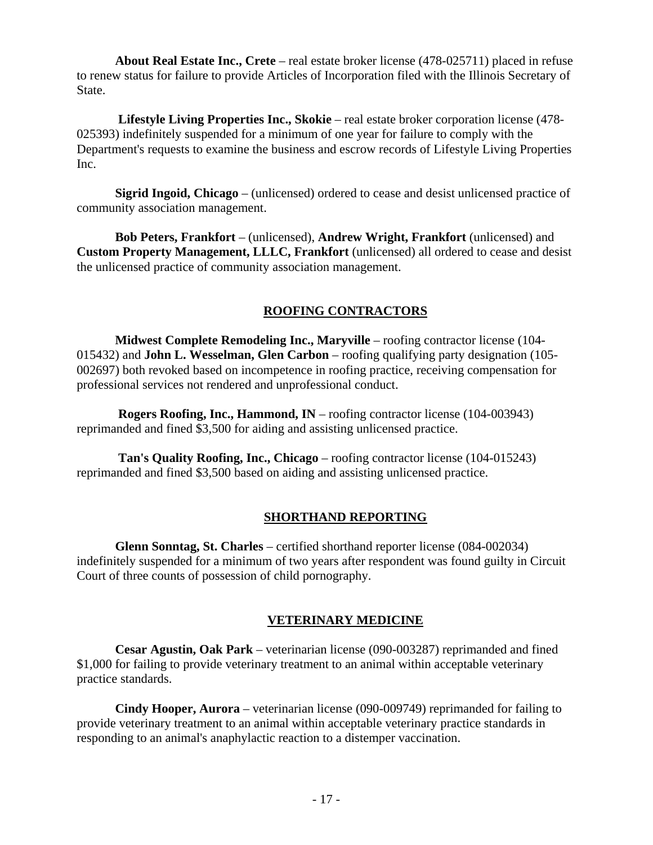**About Real Estate Inc., Crete** – real estate broker license (478-025711) placed in refuse to renew status for failure to provide Articles of Incorporation filed with the Illinois Secretary of State.

 **Lifestyle Living Properties Inc., Skokie** – real estate broker corporation license (478- 025393) indefinitely suspended for a minimum of one year for failure to comply with the Department's requests to examine the business and escrow records of Lifestyle Living Properties Inc.

**Sigrid Ingoid, Chicago** – (unlicensed) ordered to cease and desist unlicensed practice of community association management.

**Bob Peters, Frankfort** – (unlicensed), **Andrew Wright, Frankfort** (unlicensed) and **Custom Property Management, LLLC, Frankfort** (unlicensed) all ordered to cease and desist the unlicensed practice of community association management.

# **ROOFING CONTRACTORS**

**Midwest Complete Remodeling Inc., Maryville** – roofing contractor license (104- 015432) and **John L. Wesselman, Glen Carbon** – roofing qualifying party designation (105- 002697) both revoked based on incompetence in roofing practice, receiving compensation for professional services not rendered and unprofessional conduct.

 **Rogers Roofing, Inc., Hammond, IN** – roofing contractor license (104-003943) reprimanded and fined \$3,500 for aiding and assisting unlicensed practice.

 **Tan's Quality Roofing, Inc., Chicago** – roofing contractor license (104-015243) reprimanded and fined \$3,500 based on aiding and assisting unlicensed practice.

### **SHORTHAND REPORTING**

**Glenn Sonntag, St. Charles** – certified shorthand reporter license (084-002034) indefinitely suspended for a minimum of two years after respondent was found guilty in Circuit Court of three counts of possession of child pornography.

### **VETERINARY MEDICINE**

**Cesar Agustin, Oak Park** – veterinarian license (090-003287) reprimanded and fined \$1,000 for failing to provide veterinary treatment to an animal within acceptable veterinary practice standards.

**Cindy Hooper, Aurora** – veterinarian license (090-009749) reprimanded for failing to provide veterinary treatment to an animal within acceptable veterinary practice standards in responding to an animal's anaphylactic reaction to a distemper vaccination.